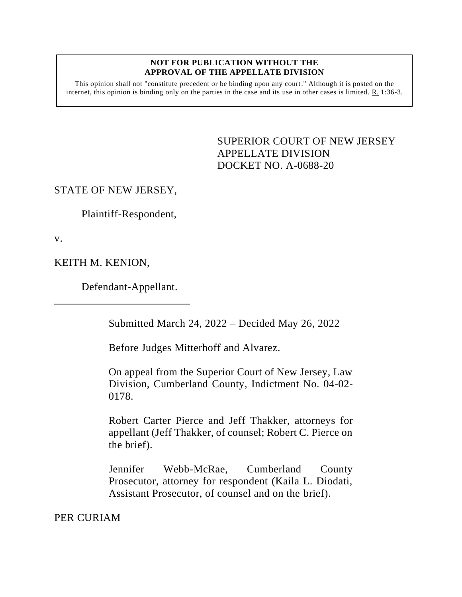## **NOT FOR PUBLICATION WITHOUT THE APPROVAL OF THE APPELLATE DIVISION**

This opinion shall not "constitute precedent or be binding upon any court." Although it is posted on the internet, this opinion is binding only on the parties in the case and its use in other cases is limited. R. 1:36-3.

> <span id="page-0-0"></span>SUPERIOR COURT OF NEW JERSEY APPELLATE DIVISION DOCKET NO. A-0688-20

## STATE OF NEW JERSEY,

Plaintiff-Respondent,

v.

KEITH M. KENION,

Defendant-Appellant.

Submitted March 24, 2022 – Decided May 26, 2022

Before Judges Mitterhoff and Alvarez.

On appeal from the Superior Court of New Jersey, Law Division, Cumberland County, Indictment No. 04-02- 0178.

Robert Carter Pierce and Jeff Thakker, attorneys for appellant (Jeff Thakker, of counsel; Robert C. Pierce on the brief).

Jennifer Webb-McRae, Cumberland County Prosecutor, attorney for respondent (Kaila L. Diodati, Assistant Prosecutor, of counsel and on the brief).

PER CURIAM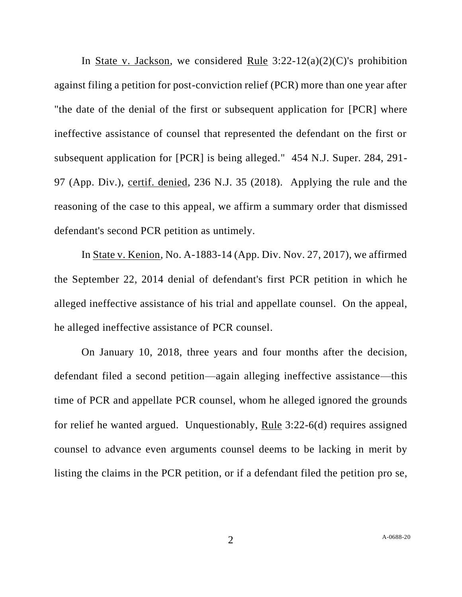In State v. Jackson, we considered Rule  $3:22-12(a)(2)(C)$ 's prohibition against filing a petition for post-conviction relief (PCR) more than one year after "the date of the denial of the first or subsequent application for [PCR] where ineffective assistance of counsel that represented the defendant on the first or subsequent application for [PCR] is being alleged." 454 N.J. Super. 284, 291- 97 (App. Div.), certif. denied, 236 N.J. 35 (2018). Applying the rule and the reasoning of the case to this appeal, we affirm a summary order that dismissed defendant's second PCR petition as untimely.

In State v. Kenion, No. A-1883-14 (App. Div. Nov. 27, 2017), we affirmed the September 22, 2014 denial of defendant's first PCR petition in which he alleged ineffective assistance of his trial and appellate counsel. On the appeal, he alleged ineffective assistance of PCR counsel.

On January 10, 2018, three years and four months after the decision, defendant filed a second petition—again alleging ineffective assistance—this time of PCR and appellate PCR counsel, whom he alleged ignored the grounds for relief he wanted argued. Unquestionably, Rule 3:22-6(d) requires assigned counsel to advance even arguments counsel deems to be lacking in merit by listing the claims in the PCR petition, or if a defendant filed the petition pro se,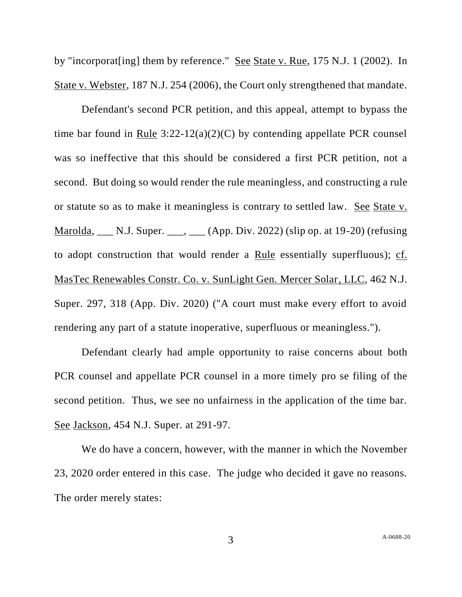by "incorporat[ing] them by reference." See State v. Rue, 175 N.J. 1 (2002). In State v. Webster, 187 N.J. 254 (2006), the Court only strengthened that mandate.

Defendant's second PCR petition, and this appeal, attempt to bypass the time bar found in Rule 3:22-12(a)(2)(C) by contending appellate PCR counsel was so ineffective that this should be considered a first PCR petition, not a second. But doing so would render the rule meaningless, and constructing a rule or statute so as to make it meaningless is contrary to settled law. See State v. Marolda, \_\_\_ N.J. Super. \_\_\_, \_\_\_ (App. Div. 2022) (slip op. at 19-20) (refusing to adopt construction that would render a Rule essentially superfluous); cf. MasTec Renewables Constr. Co. v. SunLight Gen. Mercer Solar, LLC, 462 N.J. Super. 297, 318 (App. Div. 2020) ("A court must make every effort to avoid rendering any part of a statute inoperative, superfluous or meaningless.").

Defendant clearly had ample opportunity to raise concerns about both PCR counsel and appellate PCR counsel in a more timely pro se filing of the second petition. Thus, we see no unfairness in the application of the time bar. See Jackson, 454 N.J. Super. at 291-97.

We do have a concern, however, with the manner in which the November 23, 2020 order entered in this case. The judge who decided it gave no reasons. The order merely states: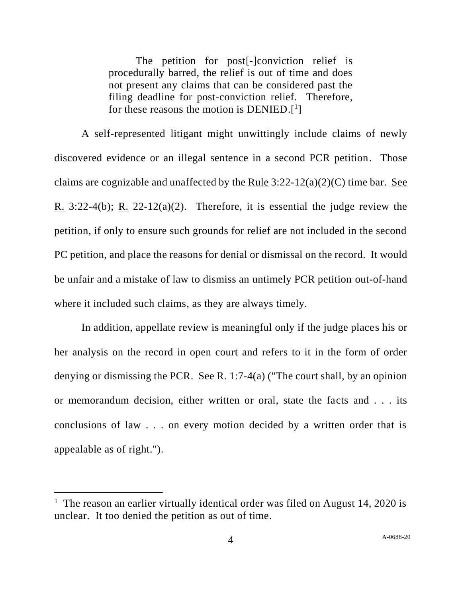The petition for post[-]conviction relief is procedurally barred, the relief is out of time and does not present any claims that can be considered past the filing deadline for post-conviction relief. Therefore, for these reasons the motion is  $DENIED.[<sup>1</sup>]$ 

A self-represented litigant might unwittingly include claims of newly discovered evidence or an illegal sentence in a second PCR petition. Those claims are cognizable and unaffected by the Rule  $3:22-12(a)(2)(C)$  time bar. See R. 3:22-4(b); R. 22-12(a)(2). Therefore, it is essential the judge review the petition, if only to ensure such grounds for relief are not included in the second PC petition, and place the reasons for denial or dismissal on the record. It would be unfair and a mistake of law to dismiss an untimely PCR petition out-of-hand where it included such claims, as they are always timely.

In addition, appellate review is meaningful only if the judge places his or her analysis on the record in open court and refers to it in the form of order denying or dismissing the PCR. <u>See R.</u> 1:7-4(a) ("The court shall, by an opinion or memorandum decision, either written or oral, state the facts and . . . its conclusions of law . . . on every motion decided by a written order that is appealable as of right.").

<sup>&</sup>lt;sup>1</sup> The reason an earlier virtually identical order was filed on August 14, 2020 is unclear. It too denied the petition as out of time.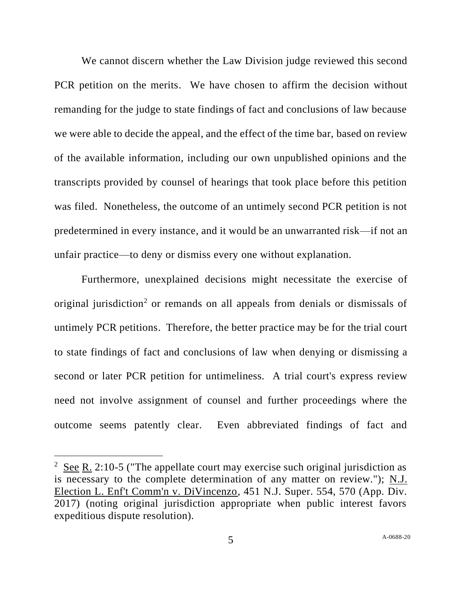We cannot discern whether the Law Division judge reviewed this second PCR petition on the merits. We have chosen to affirm the decision without remanding for the judge to state findings of fact and conclusions of law because we were able to decide the appeal, and the effect of the time bar, based on review of the available information, including our own unpublished opinions and the transcripts provided by counsel of hearings that took place before this petition was filed. Nonetheless, the outcome of an untimely second PCR petition is not predetermined in every instance, and it would be an unwarranted risk—if not an unfair practice—to deny or dismiss every one without explanation.

Furthermore, unexplained decisions might necessitate the exercise of original jurisdiction<sup>2</sup> or remands on all appeals from denials or dismissals of untimely PCR petitions. Therefore, the better practice may be for the trial court to state findings of fact and conclusions of law when denying or dismissing a second or later PCR petition for untimeliness. A trial court's express review need not involve assignment of counsel and further proceedings where the outcome seems patently clear. Even abbreviated findings of fact and

<sup>&</sup>lt;sup>2</sup> See R. 2:10-5 ("The appellate court may exercise such original jurisdiction as is necessary to the complete determination of any matter on review."); N.J. Election L. Enf't Comm'n v. DiVincenzo, 451 N.J. Super. 554, 570 (App. Div. 2017) (noting original jurisdiction appropriate when public interest favors expeditious dispute resolution).